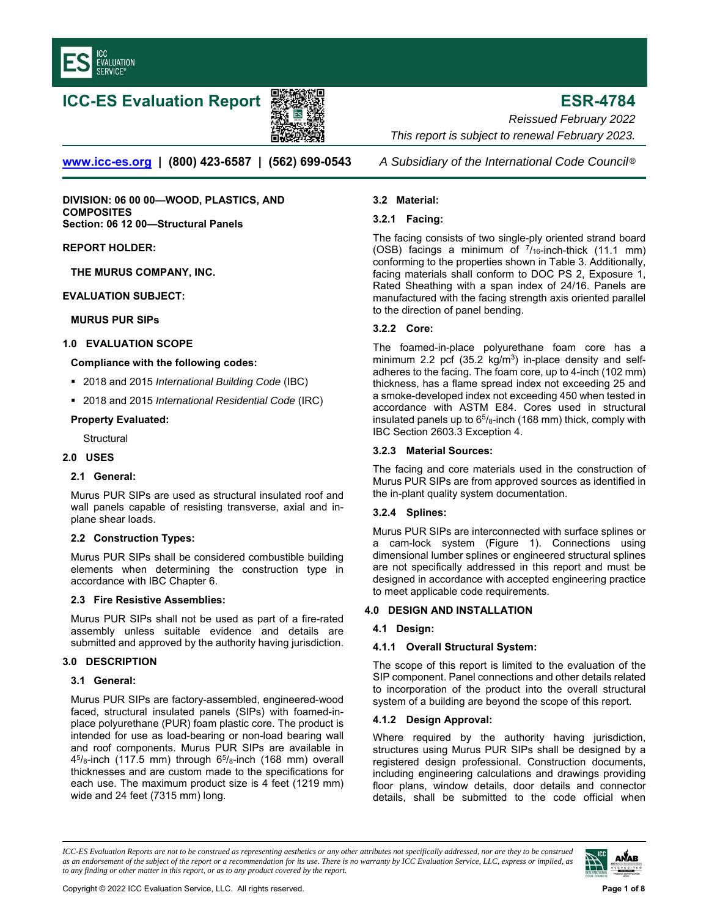

# **ICC-ES Evaluation Report ESR-4784**



**[www.icc-es.org](WWW.ICC-ES.ORG) | (800) 423-6587 | (562) 699-0543** *A Subsidiary of the International Code Council* ®

**DIVISION: 06 00 00—WOOD, PLASTICS, AND COMPOSITES Section: 06 12 00—Structural Panels** 

#### **REPORT HOLDER:**

**THE MURUS COMPANY, INC.** 

#### **EVALUATION SUBJECT:**

#### **MURUS PUR SIPs**

# **1.0 EVALUATION SCOPE**

#### **Compliance with the following codes:**

- 2018 and 2015 *International Building Code* (IBC)
- 2018 and 2015 *International Residential Code* (IRC)

#### **Property Evaluated:**

**Structural** 

#### **2.0 USES**

#### **2.1 General:**

Murus PUR SIPs are used as structural insulated roof and wall panels capable of resisting transverse, axial and inplane shear loads.

# **2.2 Construction Types:**

Murus PUR SIPs shall be considered combustible building elements when determining the construction type in accordance with IBC Chapter 6.

# **2.3 Fire Resistive Assemblies:**

Murus PUR SIPs shall not be used as part of a fire-rated assembly unless suitable evidence and details are submitted and approved by the authority having jurisdiction.

# **3.0 DESCRIPTION**

#### **3.1 General:**

Murus PUR SIPs are factory-assembled, engineered-wood faced, structural insulated panels (SIPs) with foamed-inplace polyurethane (PUR) foam plastic core. The product is intended for use as load-bearing or non-load bearing wall and roof components. Murus PUR SIPs are available in  $4<sup>5</sup>/8$ -inch (117.5 mm) through  $6<sup>5</sup>/8$ -inch (168 mm) overall thicknesses and are custom made to the specifications for each use. The maximum product size is 4 feet (1219 mm) wide and 24 feet (7315 mm) long.

*Reissued February 2022 This report is subject to renewal February 2023.* 

# **3.2 Material:**

# **3.2.1 Facing:**

The facing consists of two single-ply oriented strand board (OSB) facings a minimum of  $\frac{7}{16}$ -inch-thick (11.1 mm) conforming to the properties shown in Table 3. Additionally, facing materials shall conform to DOC PS 2, Exposure 1, Rated Sheathing with a span index of 24/16. Panels are manufactured with the facing strength axis oriented parallel to the direction of panel bending.

# **3.2.2 Core:**

The foamed-in-place polyurethane foam core has a minimum 2.2 pcf (35.2 kg/m<sup>3</sup>) in-place density and selfadheres to the facing. The foam core, up to 4-inch (102 mm) thickness, has a flame spread index not exceeding 25 and a smoke-developed index not exceeding 450 when tested in accordance with ASTM E84. Cores used in structural insulated panels up to  $65/8$ -inch (168 mm) thick, comply with IBC Section 2603.3 Exception 4.

# **3.2.3 Material Sources:**

The facing and core materials used in the construction of Murus PUR SIPs are from approved sources as identified in the in-plant quality system documentation.

# **3.2.4 Splines:**

Murus PUR SIPs are interconnected with surface splines or a cam-lock system (Figure 1). Connections using dimensional lumber splines or engineered structural splines are not specifically addressed in this report and must be designed in accordance with accepted engineering practice to meet applicable code requirements.

# **4.0 DESIGN AND INSTALLATION**

# **4.1 Design:**

# **4.1.1 Overall Structural System:**

The scope of this report is limited to the evaluation of the SIP component. Panel connections and other details related to incorporation of the product into the overall structural system of a building are beyond the scope of this report.

# **4.1.2 Design Approval:**

Where required by the authority having jurisdiction, structures using Murus PUR SIPs shall be designed by a registered design professional. Construction documents, including engineering calculations and drawings providing floor plans, window details, door details and connector details, shall be submitted to the code official when

*ICC-ES Evaluation Reports are not to be construed as representing aesthetics or any other attributes not specifically addressed, nor are they to be construed as an endorsement of the subject of the report or a recommendation for its use. There is no warranty by ICC Evaluation Service, LLC, express or implied, as to any finding or other matter in this report, or as to any product covered by the report.*

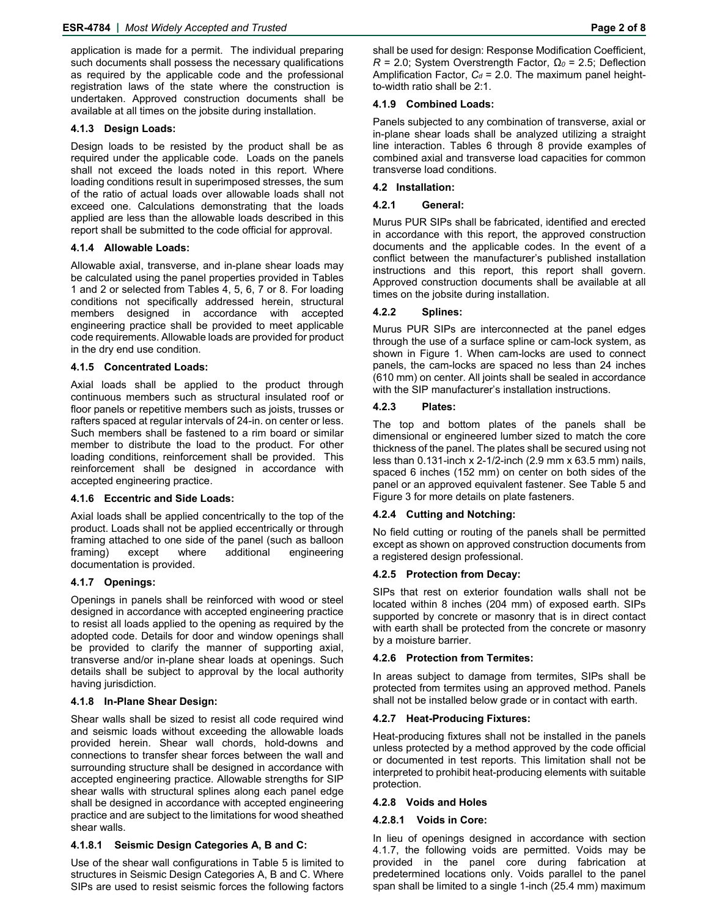application is made for a permit. The individual preparing such documents shall possess the necessary qualifications as required by the applicable code and the professional registration laws of the state where the construction is undertaken. Approved construction documents shall be available at all times on the jobsite during installation.

#### **4.1.3 Design Loads:**

Design loads to be resisted by the product shall be as required under the applicable code. Loads on the panels shall not exceed the loads noted in this report. Where loading conditions result in superimposed stresses, the sum of the ratio of actual loads over allowable loads shall not exceed one. Calculations demonstrating that the loads applied are less than the allowable loads described in this report shall be submitted to the code official for approval.

# **4.1.4 Allowable Loads:**

Allowable axial, transverse, and in-plane shear loads may be calculated using the panel properties provided in Tables 1 and 2 or selected from Tables 4, 5, 6, 7 or 8. For loading conditions not specifically addressed herein, structural members designed in accordance with accepted engineering practice shall be provided to meet applicable code requirements. Allowable loads are provided for product in the dry end use condition.

#### **4.1.5 Concentrated Loads:**

Axial loads shall be applied to the product through continuous members such as structural insulated roof or floor panels or repetitive members such as joists, trusses or rafters spaced at regular intervals of 24-in. on center or less. Such members shall be fastened to a rim board or similar member to distribute the load to the product. For other loading conditions, reinforcement shall be provided. This reinforcement shall be designed in accordance with accepted engineering practice.

# **4.1.6 Eccentric and Side Loads:**

Axial loads shall be applied concentrically to the top of the product. Loads shall not be applied eccentrically or through framing attached to one side of the panel (such as balloon framing) except where additional engineering documentation is provided.

# **4.1.7 Openings:**

Openings in panels shall be reinforced with wood or steel designed in accordance with accepted engineering practice to resist all loads applied to the opening as required by the adopted code. Details for door and window openings shall be provided to clarify the manner of supporting axial, transverse and/or in-plane shear loads at openings. Such details shall be subject to approval by the local authority having jurisdiction.

#### **4.1.8 In-Plane Shear Design:**

Shear walls shall be sized to resist all code required wind and seismic loads without exceeding the allowable loads provided herein. Shear wall chords, hold-downs and connections to transfer shear forces between the wall and surrounding structure shall be designed in accordance with accepted engineering practice. Allowable strengths for SIP shear walls with structural splines along each panel edge shall be designed in accordance with accepted engineering practice and are subject to the limitations for wood sheathed shear walls.

# **4.1.8.1 Seismic Design Categories A, B and C:**

Use of the shear wall configurations in Table 5 is limited to structures in Seismic Design Categories A, B and C. Where SIPs are used to resist seismic forces the following factors

# to-width ratio shall be 2:1. **4.1.9 Combined Loads:**

Panels subjected to any combination of transverse, axial or in-plane shear loads shall be analyzed utilizing a straight line interaction. Tables 6 through 8 provide examples of combined axial and transverse load capacities for common transverse load conditions.

# **4.2 Installation:**

# **4.2.1 General:**

Murus PUR SIPs shall be fabricated, identified and erected in accordance with this report, the approved construction documents and the applicable codes. In the event of a conflict between the manufacturer's published installation instructions and this report, this report shall govern. Approved construction documents shall be available at all times on the jobsite during installation.

# **4.2.2 Splines:**

Murus PUR SIPs are interconnected at the panel edges through the use of a surface spline or cam-lock system, as shown in Figure 1. When cam-locks are used to connect panels, the cam-locks are spaced no less than 24 inches (610 mm) on center. All joints shall be sealed in accordance with the SIP manufacturer's installation instructions.

# **4.2.3 Plates:**

The top and bottom plates of the panels shall be dimensional or engineered lumber sized to match the core thickness of the panel. The plates shall be secured using not less than 0.131-inch x 2-1/2-inch (2.9 mm x 63.5 mm) nails, spaced 6 inches (152 mm) on center on both sides of the panel or an approved equivalent fastener. See Table 5 and Figure 3 for more details on plate fasteners.

# **4.2.4 Cutting and Notching:**

No field cutting or routing of the panels shall be permitted except as shown on approved construction documents from a registered design professional.

# **4.2.5 Protection from Decay:**

SIPs that rest on exterior foundation walls shall not be located within 8 inches (204 mm) of exposed earth. SIPs supported by concrete or masonry that is in direct contact with earth shall be protected from the concrete or masonry by a moisture barrier.

# **4.2.6 Protection from Termites:**

In areas subject to damage from termites, SIPs shall be protected from termites using an approved method. Panels shall not be installed below grade or in contact with earth.

#### **4.2.7 Heat-Producing Fixtures:**

Heat-producing fixtures shall not be installed in the panels unless protected by a method approved by the code official or documented in test reports. This limitation shall not be interpreted to prohibit heat-producing elements with suitable protection.

#### **4.2.8 Voids and Holes**

#### **4.2.8.1 Voids in Core:**

In lieu of openings designed in accordance with section 4.1.7, the following voids are permitted. Voids may be provided in the panel core during fabrication at predetermined locations only. Voids parallel to the panel span shall be limited to a single 1-inch (25.4 mm) maximum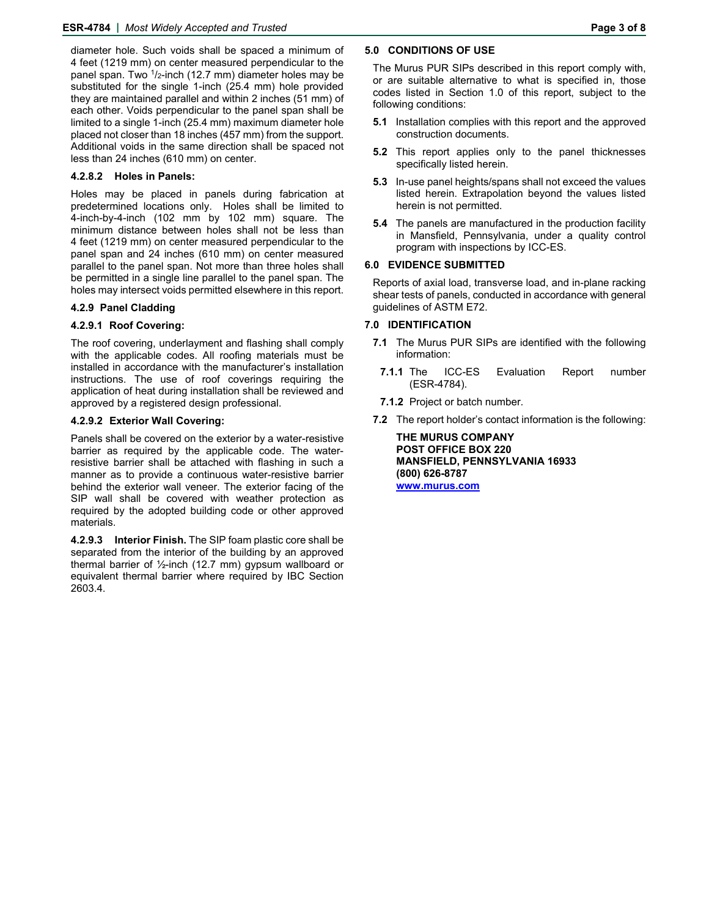diameter hole. Such voids shall be spaced a minimum of 4 feet (1219 mm) on center measured perpendicular to the panel span. Two  $\frac{1}{2}$ -inch (12.7 mm) diameter holes may be substituted for the single 1-inch (25.4 mm) hole provided they are maintained parallel and within 2 inches (51 mm) of each other. Voids perpendicular to the panel span shall be limited to a single 1-inch (25.4 mm) maximum diameter hole placed not closer than 18 inches (457 mm) from the support. Additional voids in the same direction shall be spaced not less than 24 inches (610 mm) on center.

# **4.2.8.2 Holes in Panels:**

Holes may be placed in panels during fabrication at predetermined locations only. Holes shall be limited to 4-inch-by-4-inch (102 mm by 102 mm) square. The minimum distance between holes shall not be less than 4 feet (1219 mm) on center measured perpendicular to the panel span and 24 inches (610 mm) on center measured parallel to the panel span. Not more than three holes shall be permitted in a single line parallel to the panel span. The holes may intersect voids permitted elsewhere in this report.

# **4.2.9 Panel Cladding**

# **4.2.9.1 Roof Covering:**

The roof covering, underlayment and flashing shall comply with the applicable codes. All roofing materials must be installed in accordance with the manufacturer's installation instructions. The use of roof coverings requiring the application of heat during installation shall be reviewed and approved by a registered design professional.

# **4.2.9.2 Exterior Wall Covering:**

Panels shall be covered on the exterior by a water-resistive barrier as required by the applicable code. The waterresistive barrier shall be attached with flashing in such a manner as to provide a continuous water-resistive barrier behind the exterior wall veneer. The exterior facing of the SIP wall shall be covered with weather protection as required by the adopted building code or other approved materials.

**4.2.9.3 Interior Finish.** The SIP foam plastic core shall be separated from the interior of the building by an approved thermal barrier of ½-inch (12.7 mm) gypsum wallboard or equivalent thermal barrier where required by IBC Section 2603.4.

#### **5.0 CONDITIONS OF USE**

The Murus PUR SIPs described in this report comply with, or are suitable alternative to what is specified in, those codes listed in Section 1.0 of this report, subject to the following conditions:

- **5.1** Installation complies with this report and the approved construction documents.
- **5.2** This report applies only to the panel thicknesses specifically listed herein.
- **5.3** In-use panel heights/spans shall not exceed the values listed herein. Extrapolation beyond the values listed herein is not permitted.
- **5.4** The panels are manufactured in the production facility in Mansfield, Pennsylvania, under a quality control program with inspections by ICC-ES.

# **6.0 EVIDENCE SUBMITTED**

Reports of axial load, transverse load, and in-plane racking shear tests of panels, conducted in accordance with general guidelines of ASTM E72.

# **7.0 IDENTIFICATION**

- **7.1** The Murus PUR SIPs are identified with the following information:
- **7.1.1** The ICC-ES Evaluation Report number (ESR-4784).
- **7.1.2** Project or batch number.
- **7.2** The report holder's contact information is the following:

**THE MURUS COMPANY POST OFFICE BOX 220 MANSFIELD, PENNSYLVANIA 16933 (800) 626-8787 [www.murus.com](WWW.MURUS.COM)**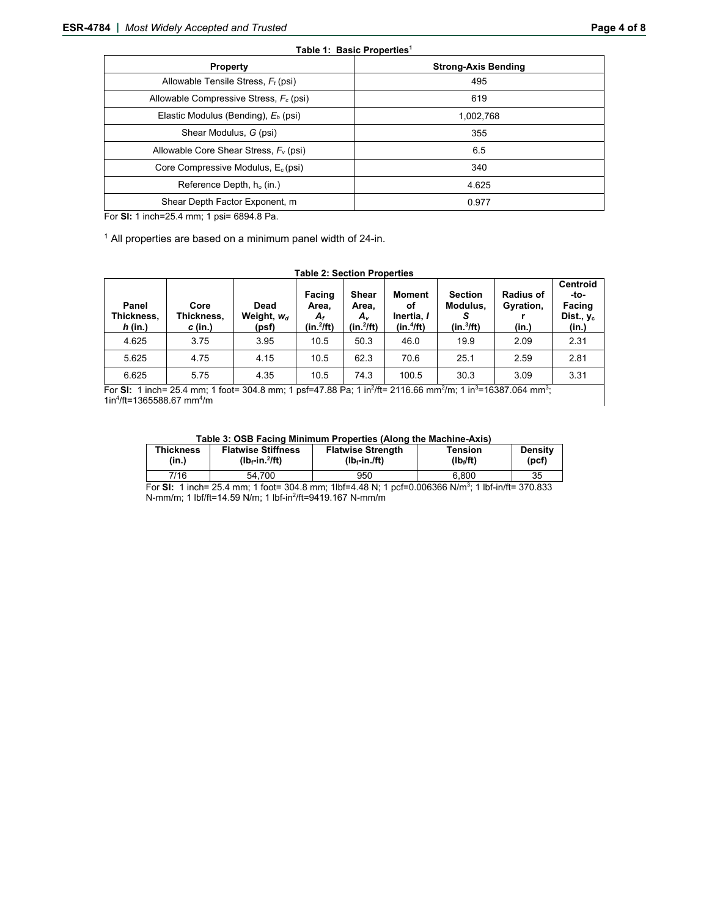| <b>Property</b>                                 | <b>Strong-Axis Bending</b> |  |  |  |  |
|-------------------------------------------------|----------------------------|--|--|--|--|
| Allowable Tensile Stress, $F_t$ (psi)           | 495                        |  |  |  |  |
| Allowable Compressive Stress, $F_c$ (psi)       | 619                        |  |  |  |  |
| Elastic Modulus (Bending), E <sub>b</sub> (psi) | 1.002.768                  |  |  |  |  |
| Shear Modulus, G (psi)                          | 355                        |  |  |  |  |
| Allowable Core Shear Stress, $F_v$ (psi)        | 6.5                        |  |  |  |  |
| Core Compressive Modulus, $E_c$ (psi)           | 340                        |  |  |  |  |
| Reference Depth, $h_0$ (in.)                    | 4.625                      |  |  |  |  |
| Shear Depth Factor Exponent, m.                 | 0.977                      |  |  |  |  |

For **SI:** 1 inch=25.4 mm; 1 psi= 6894.8 Pa.

 $1$  All properties are based on a minimum panel width of 24-in.

#### **Table 2: Section Properties Panel Thickness,**  *h* **(in.) Core Thickness,**  *c* **(in.) Dead**  Weight,  $w_d$ **(psf) Facing Area,**  *Af* **(in.2 /ft) Shear Area,**  *Av* **(in.2 /ft) Moment of Inertia,** *I* **(in.4 /ft) Section Modulus,**  *S*  **(in.3 /ft) Radius of Gyration, r (in.) Centroid -to-Facing Dist., yc (in.)** 4.625 | 3.75 | 3.95 | 10.5 | 50.3 | 46.0 | 19.9 | 2.09 | 2.31 5.625 4.75 4.15 10.5 62.3 70.6 25.1 2.59 2.81 6.625 | 5.75 | 4.35 | 10.5 | 74.3 | 100.5 | 30.3 | 3.09 | 3.31

For SI: 1 inch= 25.4 mm; 1 foot= 304.8 mm; 1 psf=47.88 Pa; 1 in<sup>2</sup>/ft= 2116.66 mm<sup>2</sup>/m; 1 in<sup>3</sup>=16387.064 mm<sup>3</sup>; 1in<sup>4</sup>/ft=1365588.67 mm<sup>4</sup>/m

| Table 3: OSB Facing Minimum Properties (Along the Machine-Axis) |  |
|-----------------------------------------------------------------|--|
|                                                                 |  |

| <b>Thickness</b> | <b>Flatwise Stiffness</b> | <b>Flatwise Strength</b> | Tension               | <b>Density</b> |
|------------------|---------------------------|--------------------------|-----------------------|----------------|
| (in.)            | $(Ib-fin.^2$ ft)          | $(Ib_f$ -in $/ft$ )      | (Ib <sub>f</sub> /ft) | (pcf)          |
| 7/16             | 54.700                    | 950                      | 6.800                 | 35             |

For **SI:** 1 inch= 25.4 mm; 1 foot= 304.8 mm; 1lbf=4.48 N; 1 pcf=0.006366 N/m3 ; 1 lbf-in/ft= 370.833 N-mm/m; 1 lbf/ft=14.59 N/m; 1 lbf-in<sup>2</sup>/ft=9419.167 N-mm/m

#### **Table 1: Basic Properties1**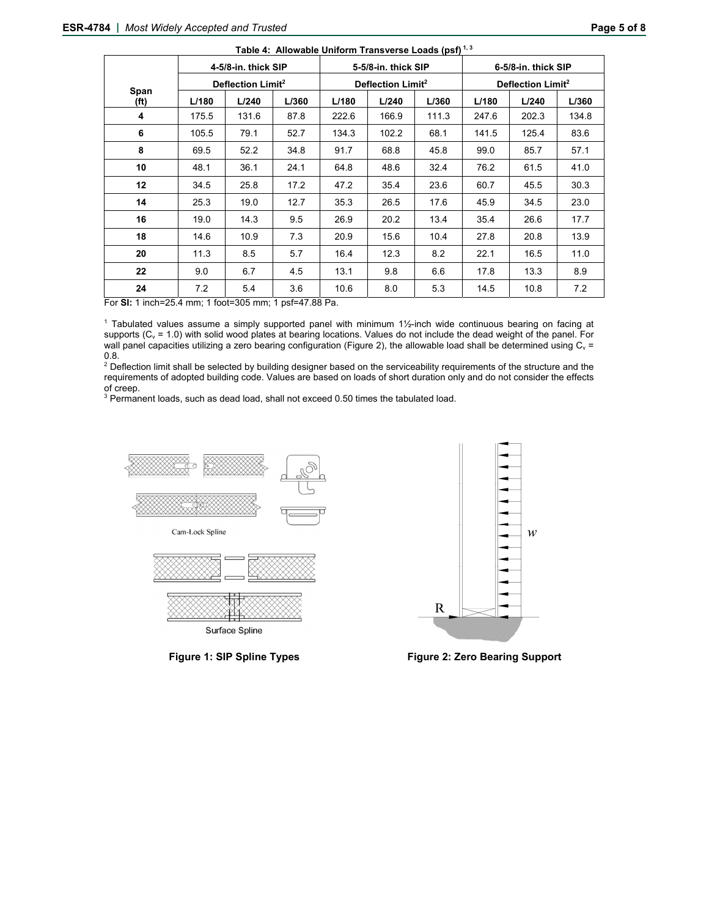|              |       | 4-5/8-in. thick SIP           |       |       | 5-5/8-in. thick SIP           |       | 6-5/8-in. thick SIP |                               |       |  |
|--------------|-------|-------------------------------|-------|-------|-------------------------------|-------|---------------------|-------------------------------|-------|--|
|              |       | Deflection Limit <sup>2</sup> |       |       | Deflection Limit <sup>2</sup> |       |                     | Deflection Limit <sup>2</sup> |       |  |
| Span<br>(ft) | L/180 | L/240                         | L/360 | L/180 | L/240                         | L/360 | L/180               | L/240                         | L/360 |  |
| 4            | 175.5 | 131.6                         | 87.8  | 222.6 | 166.9                         | 111.3 | 247.6               | 202.3                         | 134.8 |  |
| 6            | 105.5 | 79.1                          | 52.7  | 134.3 | 102.2                         | 68.1  | 141.5               | 125.4                         | 83.6  |  |
| 8            | 69.5  | 52.2                          | 34.8  | 91.7  | 68.8                          | 45.8  | 99.0                | 85.7                          | 57.1  |  |
| 10           | 48.1  | 36.1                          | 24.1  | 64.8  | 48.6                          | 32.4  | 76.2                | 61.5                          | 41.0  |  |
| 12           | 34.5  | 25.8                          | 17.2  | 47.2  | 35.4                          | 23.6  | 60.7                | 45.5                          | 30.3  |  |
| 14           | 25.3  | 19.0                          | 12.7  | 35.3  | 26.5                          | 17.6  | 45.9                | 34.5                          | 23.0  |  |
| 16           | 19.0  | 14.3                          | 9.5   | 26.9  | 20.2                          | 13.4  | 35.4                | 26.6                          | 17.7  |  |
| 18           | 14.6  | 10.9                          | 7.3   | 20.9  | 15.6                          | 10.4  | 27.8                | 20.8                          | 13.9  |  |
| 20           | 11.3  | 8.5                           | 5.7   | 16.4  | 12.3                          | 8.2   | 22.1                | 16.5                          | 11.0  |  |
| 22           | 9.0   | 6.7                           | 4.5   | 13.1  | 9.8                           | 6.6   | 17.8                | 13.3                          | 8.9   |  |
| 24           | 7.2   | 5.4                           | 3.6   | 10.6  | 8.0                           | 5.3   | 14.5                | 10.8                          | 7.2   |  |

**Table 4: Allowable Uniform Transverse Loads (psf) 1, 3**

For **SI:** 1 inch=25.4 mm; 1 foot=305 mm; 1 psf=47.88 Pa.

1 Tabulated values assume a simply supported panel with minimum 1½-inch wide continuous bearing on facing at supports (C<sub>v</sub> = 1.0) with solid wood plates at bearing locations. Values do not include the dead weight of the panel. For wall panel capacities utilizing a zero bearing configuration (Figure 2), the allowable load shall be determined using  $C<sub>v</sub>$  = 0.8.<br><sup>2</sup> Deflection limit shall be selected by building designer based on the serviceability requirements of the structure and the

requirements of adopted building code. Values are based on loads of short duration only and do not consider the effects

of creep.<br><sup>3</sup> Permanent loads, such as dead load, shall not exceed 0.50 times the tabulated load.







**Figure 1: SIP Spline Types Figure 2: Zero Bearing Support**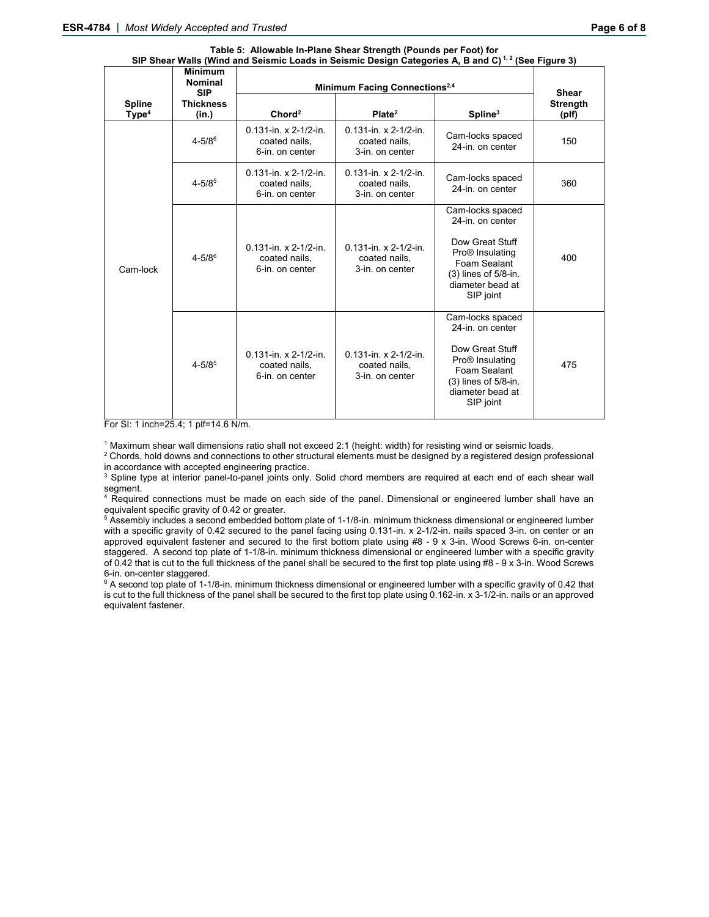|                                    | <b>Minimum</b><br><b>Nominal</b><br><b>SIP</b> | onear wang (while and ocioning Eodds in ocioning Design oategories A, D and O)<br>Minimum Facing Connections <sup>2,4</sup> | $10001$ iyu $000$<br><b>Shear</b>                                                                    |                                                                                                                                                                      |                          |
|------------------------------------|------------------------------------------------|-----------------------------------------------------------------------------------------------------------------------------|------------------------------------------------------------------------------------------------------|----------------------------------------------------------------------------------------------------------------------------------------------------------------------|--------------------------|
| <b>Spline</b><br>Type <sup>4</sup> | <b>Thickness</b><br>(in.)                      | Chord <sup>2</sup>                                                                                                          | Plate <sup>2</sup>                                                                                   | Spline <sup>3</sup>                                                                                                                                                  | <b>Strength</b><br>(plf) |
|                                    | $4 - 5/8$ <sup>6</sup>                         | 0.131-in. x 2-1/2-in.<br>coated nails,<br>6-in. on center                                                                   | $0.131$ -in. x 2-1/2-in.<br>coated nails,<br>3-in, on center                                         | Cam-locks spaced<br>24-in. on center                                                                                                                                 | 150                      |
| Cam-lock                           | $4 - 5/8^5$                                    | $0.131$ -in. x 2-1/2-in.<br>coated nails,<br>6-in. on center                                                                | $0.131$ -in. x 2-1/2-in.<br>Cam-locks spaced<br>coated nails,<br>24-in. on center<br>3-in. on center |                                                                                                                                                                      | 360                      |
|                                    | $4 - 5/8^6$                                    | $0.131$ -in. x 2-1/2-in.<br>coated nails,<br>6-in. on center                                                                | $0.131$ -in. x 2-1/2-in.<br>coated nails,<br>3-in. on center                                         | Cam-locks spaced<br>24-in. on center<br>Dow Great Stuff<br>Pro® Insulating<br>Foam Sealant<br>$(3)$ lines of $5/8$ -in.<br>diameter bead at<br>SIP joint             | 400                      |
|                                    | $4 - 5/8^5$                                    | $0.131$ -in. x 2-1/2-in.<br>coated nails,<br>6-in. on center                                                                | $0.131$ -in. x 2-1/2-in.<br>coated nails,<br>3-in, on center                                         | Cam-locks spaced<br>24-in, on center<br>Dow Great Stuff<br>Pro <sup>®</sup> Insulating<br>Foam Sealant<br>$(3)$ lines of $5/8$ -in.<br>diameter bead at<br>SIP joint | 475                      |

#### **Table 5: Allowable In-Plane Shear Strength (Pounds per Foot) for SIP Shear Walls (Wind and Seismic Loads in Seismic Design Categories A, B and C) 1, 2 (See Figure 3)**

For SI: 1 inch=25.4; 1 plf=14.6 N/m.

<sup>1</sup> Maximum shear wall dimensions ratio shall not exceed 2:1 (height: width) for resisting wind or seismic loads.<br><sup>2</sup> Chords, hold downs and connections to other structural elements must be designed by a registered design

<sup>2</sup> Chords, hold downs and connections to other structural elements must be designed by a registered design professional in accordance with accepted engineering practice.

<sup>3</sup> Spline type at interior panel-to-panel joints only. Solid chord members are required at each end of each shear wall segment.

<sup>4</sup> Required connections must be made on each side of the panel. Dimensional or engineered lumber shall have an equivalent specific gravity of 0.42 or greater.

<sup>5</sup> Assembly includes a second embedded bottom plate of 1-1/8-in. minimum thickness dimensional or engineered lumber with a specific gravity of 0.42 secured to the panel facing using 0.131-in. x 2-1/2-in. nails spaced 3-in. on center or an approved equivalent fastener and secured to the first bottom plate using #8 - 9 x 3-in. Wood Screws 6-in. on-center staggered. A second top plate of 1-1/8-in. minimum thickness dimensional or engineered lumber with a specific gravity of 0.42 that is cut to the full thickness of the panel shall be secured to the first top plate using #8 - 9 x 3-in. Wood Screws 6-in. on-center staggered.

 $^6$  A second top plate of 1-1/8-in. minimum thickness dimensional or engineered lumber with a specific gravity of 0.42 that is cut to the full thickness of the panel shall be secured to the first top plate using 0.162-in. x 3-1/2-in. nails or an approved equivalent fastener.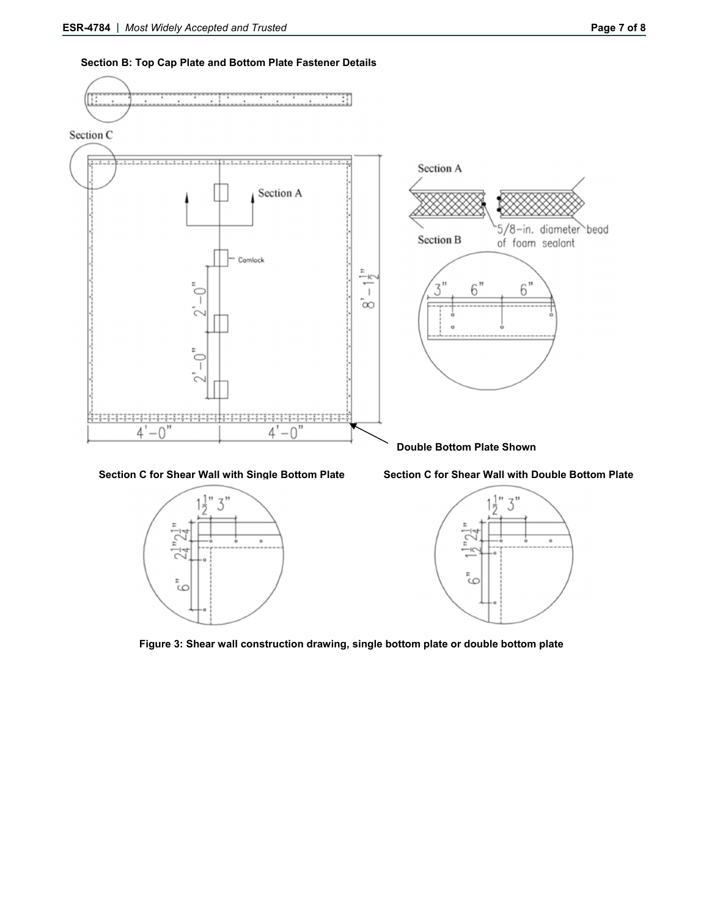



Section C for Shear Wall with Single Bottom Plate Section C for Shear Wall with Double Bottom Plate







**Figure 3: Shear wall construction drawing, single bottom plate or double bottom plate**